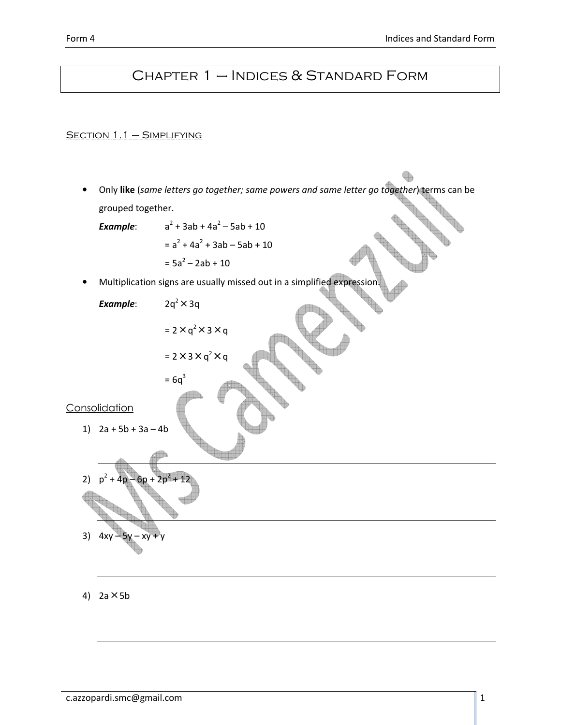# Chapter 1 – Indices & Standard Form

SECTION 1.1 - SIMPLIFYING

• Only like (same letters go together; same powers and same letter go together) terms can be grouped together.

Example:  $+3ab + 4a^2 - 5ab + 10$  $= a<sup>2</sup> + 4a<sup>2</sup> + 3ab - 5ab + 10$ 

$$
= 5a^2 - 2ab + 10
$$

• Multiplication signs are usually missed out in a simplified expression

 $\boldsymbol{q}$ 

Example:  $2q^2 \times 3q$ 

$$
= 2 \times q^2 \times 3 \times q
$$

$$
= 2 \times 3 \times q^2 \times q
$$

 $= 6q<sup>3</sup>$ 

**Consolidation** 

1) 
$$
2a + 5b + 3a - 4b
$$

2) 
$$
p^2 + 4p - 6p + 2p^2 + 12
$$
  
3)  $4xy - 5y - xy + y$ 

4)  $2a \times 5b$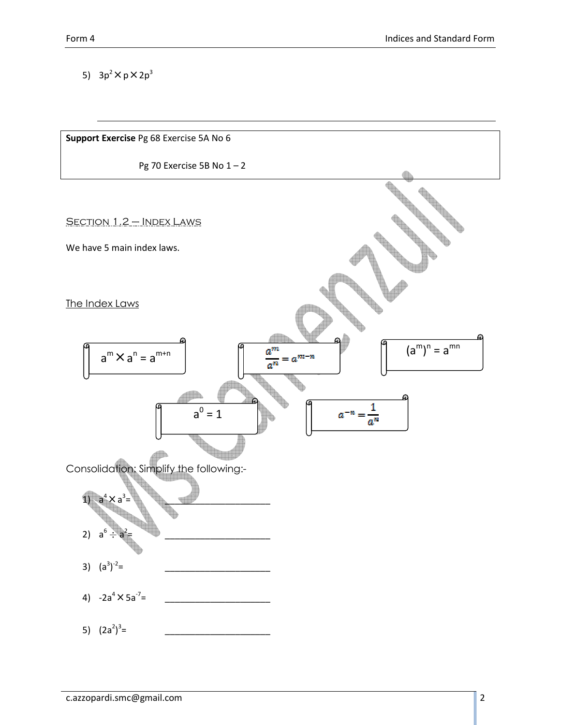5)  $3p^2 \times p \times 2p^3$ 

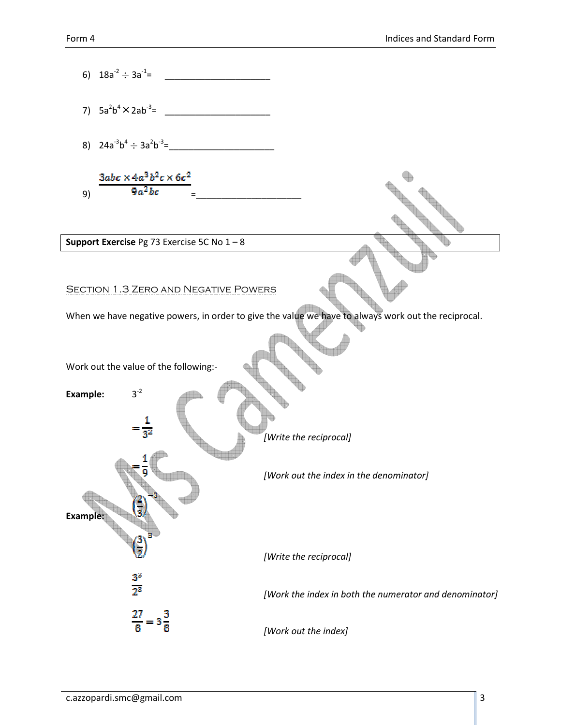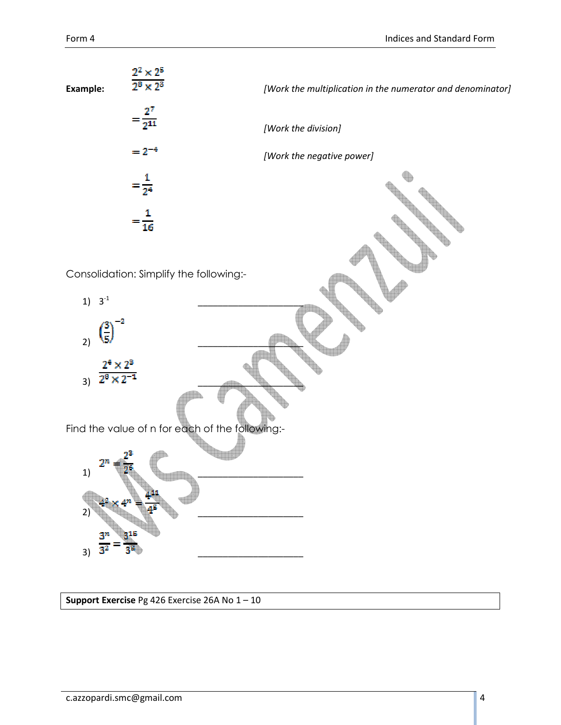

Support Exercise Pg 426 Exercise 26A No 1 – 10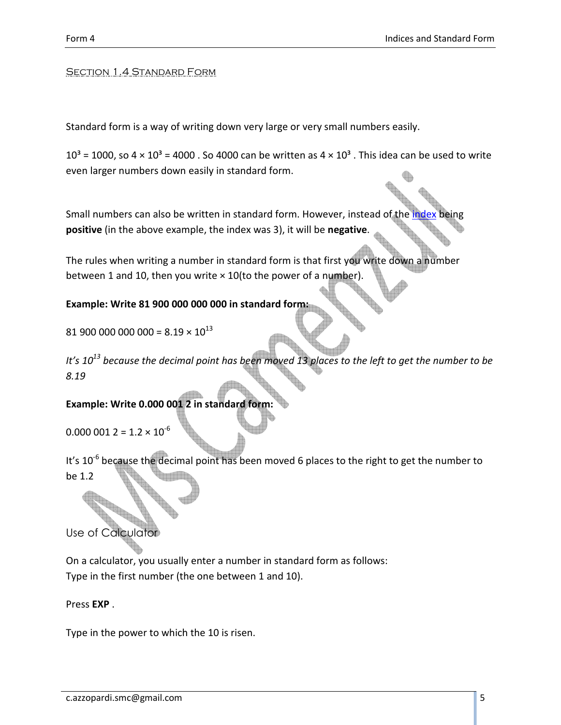#### **SECTION 1.4 STANDARD FORM**

Standard form is a way of writing down very large or very small numbers easily.

 $10<sup>3</sup>$  = 1000, so 4 × 10<sup>3</sup> = 4000 . So 4000 can be written as 4 × 10<sup>3</sup> . This idea can be used to write even larger numbers down easily in standard form.

Small numbers can also be written in standard form. However, instead of the positive (in the above example, the index was 3), it will be negative.

The rules when writing a number in standard form is that first you write down a number between 1 and 10, then you write  $\times$  10(to the power of a number).

#### Example: Write 81 900 000 000 000 in standard form:

81 900 000 000 000 =  $8.19 \times 10^{13}$ 

It's  $10^{13}$  because the decimal point has been moved 13 places to the left to get the number to be 8.19

#### Example: Write 0.000 001 2 in standard form:

 $0.000\ 001\ 2 = 1.2 \times 10^{-6}$ 

It's  $10^{-6}$  because the decimal point has been moved 6 places to the right to get the number to be 1.2

Use of Calculator

On a calculator, you usually enter a number in standard form as follows: Type in the first number (the one between 1 and 10).

Press EXP .

Type in the power to which the 10 is risen.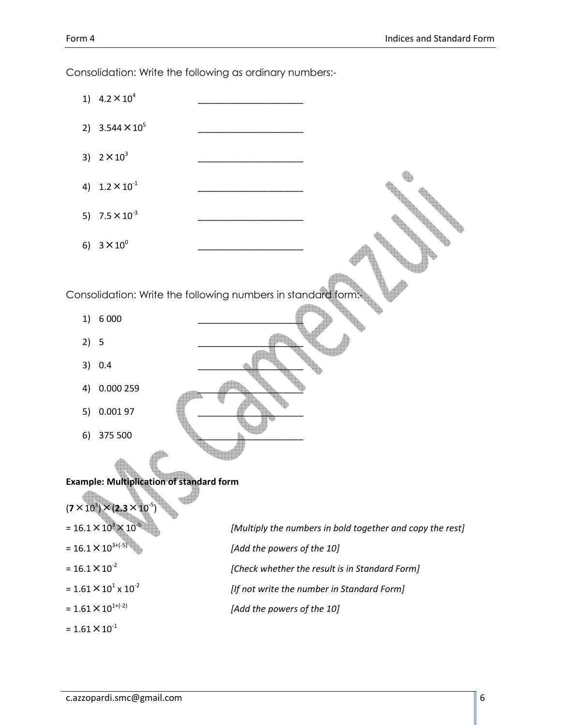1)  $4.2 \times 10^4$ \_\_\_\_\_\_\_\_\_\_\_\_\_\_\_\_\_\_\_\_\_ 2)  $3.544 \times 10^5$  $\overline{\phantom{a}}$  , we can also the contract of the contract of the contract of the contract of the contract of the contract of the contract of the contract of the contract of the contract of the contract of the contract of the 3)  $2 \times 10^3$ \_\_\_\_\_\_\_\_\_\_\_\_\_\_\_\_\_\_\_\_\_ 4)  $1.2 \times 10^{-1}$  $\overline{\phantom{a}}$  , we can also the contract of the contract of the contract of the contract of the contract of the contract of the contract of the contract of the contract of the contract of the contract of the contract of the 5)  $7.5 \times 10^{-3}$  $\overline{\phantom{a}}$  , we can also the contract of the contract of the contract of the contract of the contract of the contract of the contract of the contract of the contract of the contract of the contract of the contract of the 6)  $3 \times 10^{0}$ \_\_\_\_\_\_\_\_\_\_\_\_\_\_\_\_\_\_\_\_\_ Consolidation: Write the following numbers in standard for 1) 6 0 0 0  $2)$  5  $\qquad \qquad \qquad$ 3) 0.4 4) 0.000 259 \_\_\_\_\_\_\_\_\_\_\_\_\_\_\_\_\_\_\_\_\_ 5) 0.001 97 6) 375 500 Example: Multiplication of standard form  $(7 \times 10^3) \times (2.3 \times 10^{-5})$  $= 16.1 \times 10^{3} \times 10^{-5}$ [Multiply the numbers in bold together and copy the rest]  $= 16.1 \times 10^{3+(-5)}$  [Add the powers of the 10]  $= 16.1 \times 10^{-2}$  [Check whether the result is in Standard Form]  $= 1.61 \times 10^{1} \times 10^{-2}$ [If not write the number in Standard Form] =  $1.61 \times 10^{1+(-2)}$  [Add the powers of the 10]  $= 1.61 \times 10^{-1}$ 

Consolidation: Write the following as ordinary numbers:-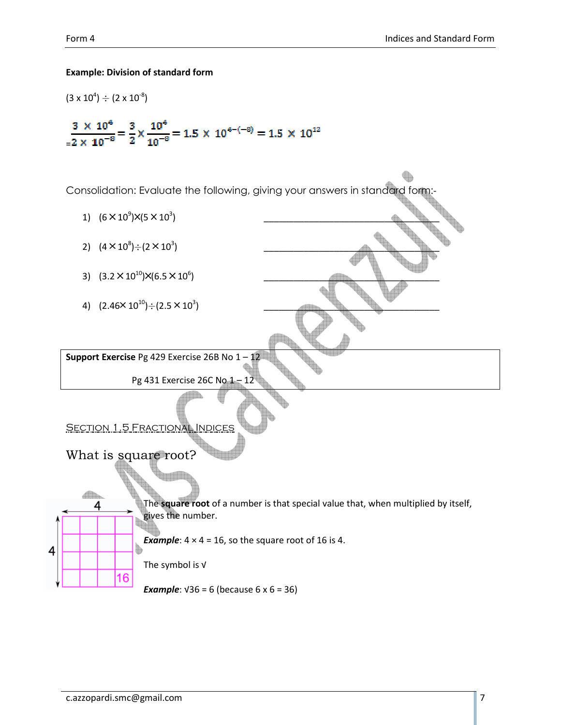#### Example: Division of standard form

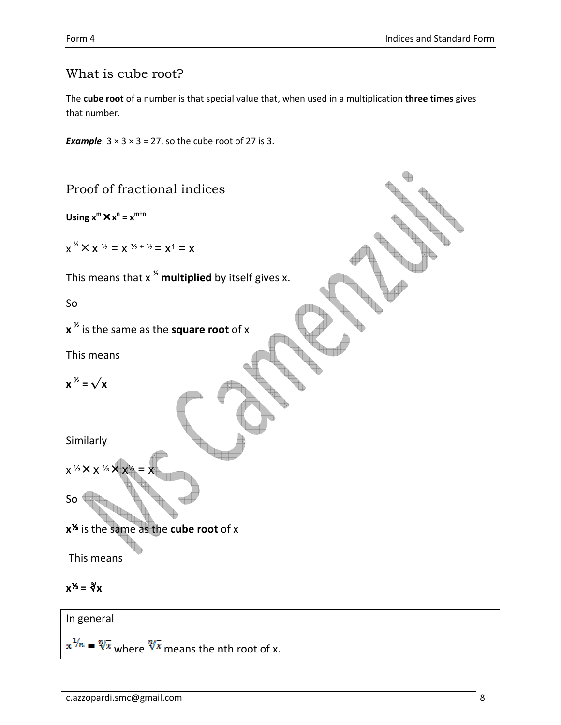## What is cube root?

The cube root of a number is that special value that, when used in a multiplication three times gives that number.

**Example:**  $3 \times 3 \times 3 = 27$ , so the cube root of 27 is 3.

Proof of fractional indices

Using  $x^m \times x^n = x^{m+n}$ 

 $x^{\frac{1}{2}} \times x^{\frac{1}{2}} = x^{\frac{1}{2} + \frac{1}{2}} = x^1 = x$ 

This means that  $x^{\frac{1}{2}}$  multiplied by itself gives x.

So

```
x \frac{x}{x} is the same as the square root of x
```
This means

 $x^{\frac{1}{2}} = \sqrt{x}$ 

Similarly

x <sup>1/3</sup> × x <sup>1/3</sup> × x<sup>1</sup>

So

x<sup>1</sup>% is the same as the cube root of x

This means

$$
x^{1/2} = \sqrt[3]{x}
$$

In general

 $x^{1/n} = \sqrt[n]{x}$  where  $\sqrt[n]{x}$  means the nth root of x.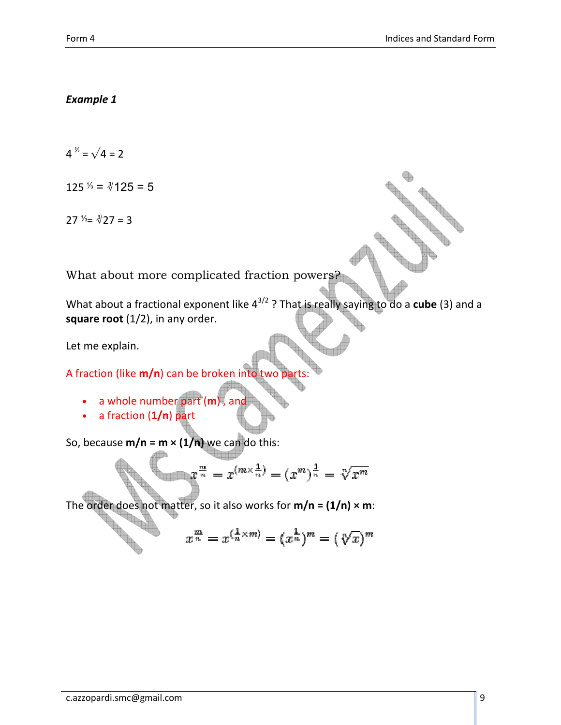#### Example 1

 $4^{3} = \sqrt{4} = 2$ 

 $125$  <sup>1/3</sup> =  $\sqrt[3]{125}$  = 5

27  $\frac{1}{3}$  =  $\frac{3}{27}$  = 3

What about more complicated fraction powers?

What about a fractional exponent like  $4^{3/2}$  ? That is really saying to do a cube (3) and a square root  $(1/2)$ , in any order.

Let me explain.

A fraction (like  $m/n$ ) can be broken into two

- $\bullet$  a whole number part  $(m)$ , and
- a fraction  $(1/n)$  part

So, because  $m/n = m \times (1/n)$  we can do this:

$$
x^{\frac{m}{n}} = x^{(m \times \frac{1}{n})} = (x^m)^{\frac{1}{n}} = \sqrt[n]{x^m}
$$

The order does not matter, so it also works for  $m/n = (1/n) \times m$ :

$$
x^{\frac{m}{n}} = x^{(\frac{1}{n} \times m)} = (x^{\frac{1}{n}})^m = (\sqrt[n]{x})^m
$$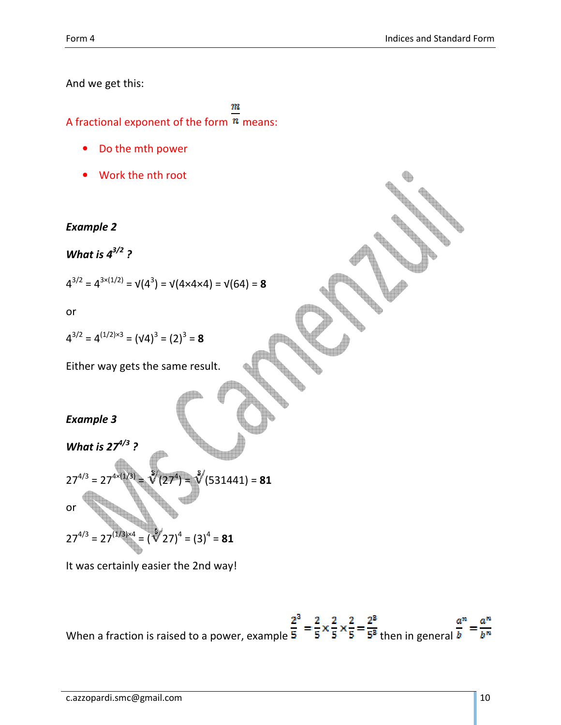And we get this:

m A fractional exponent of the form  $<sup>n</sup>$  means:</sup>

- Do the mth power
- Work the nth root

## Example 2

What is  $4^{3/2}$  ?

$$
4^{3/2} = 4^{3 \times (1/2)} = \nu(4^3) = \nu(4 \times 4 \times 4) = \nu(64) = 8
$$

or

$$
4^{3/2} = 4^{(1/2)\times 3} = (\sqrt{4})^3 = (2)^3 = 8
$$

Either way gets the same result.

## Example 3

What is  $27^{4/3}$ ?

$$
27^{4/3} = 27^{4 \times (1/3)} = \sqrt[3]{(27^4)} = \sqrt[3]{(531441)} = 81
$$

 $27^{4/3} = 27^{(1/3)\times 4} = (\sqrt[3]{27})^4 = (3)^4 = 81$ 

It was certainly easier the 2nd way!

When a fraction is raised to a power, example  $\frac{2^3}{5} = \frac{2}{5} \times \frac{2}{5} \times \frac{2}{5} = \frac{2^3}{5^3}$  then in general  $\frac{a^n}{b} = \frac{a^n}{b^n}$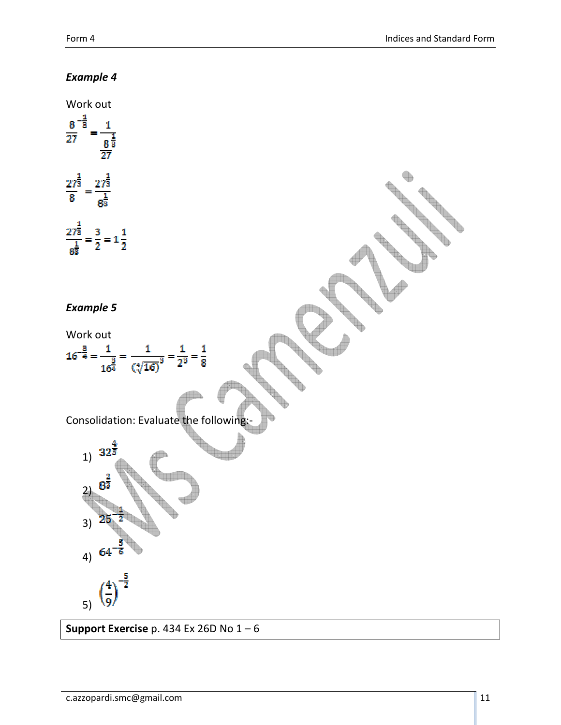## Example 4



Support Exercise p. 434 Ex 26D No  $1-6$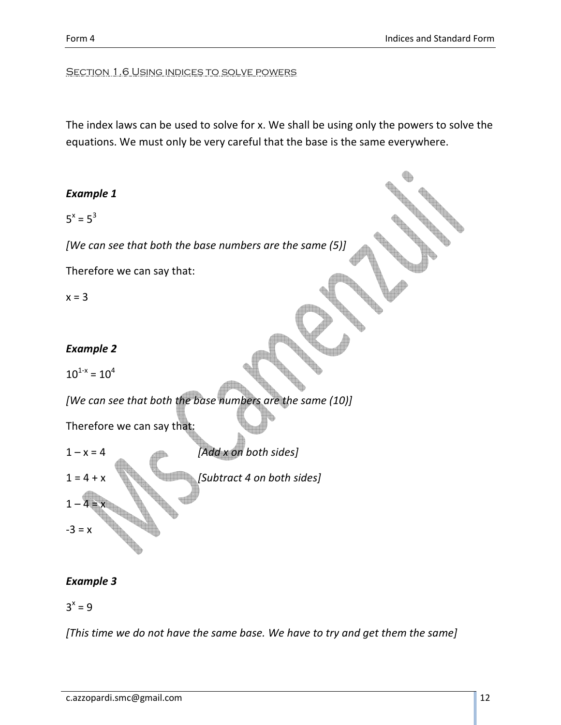#### Section 1.6 Using indices to solve powers

The index laws can be used to solve for x. We shall be using only the powers to solve the equations. We must only be very careful that the base is the same everywhere.

#### Example 1

 $5^x = 5^3$ 

[We can see that both the base numbers are the same (5)]

Therefore we can say that:

 $x = 3$ 

#### Example 2

 $10^{1-x} = 10^4$ 

[We can see that both the base numbers are the same (10)]

Therefore we can say that:



## Example 3

 $3^x = 9$ 

[This time we do not have the same base. We have to try and get them the same]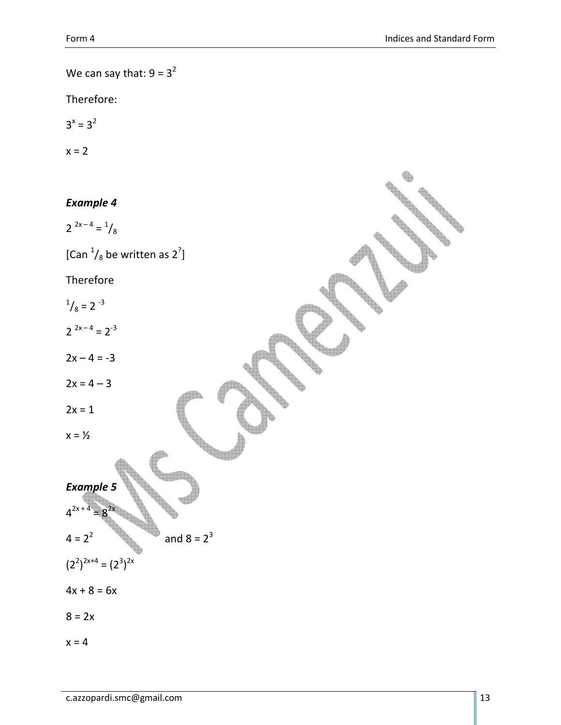We can say that:  $9 = 3^2$ 

Therefore:

 $3^x = 3^2$ 

$$
x=2
$$

#### Example 4

$$
2^{2x-4} = \frac{1}{8}
$$

[Can  $\frac{1}{8}$  be written as 2<sup>?</sup>]

Therefore

 $\frac{1}{8}$  = 2<sup>-3</sup>

 $2^{2x-4} = 2^{-3}$ 

 $2x - 4 = -3$ 

 $2x = 4 - 3$ 

 $2x = 1$ 

 $x = \frac{1}{2}$ 

Example 5  
\n
$$
4^{2x+4} = 8^{2x}
$$
\n
$$
4 = 2^2
$$

 $\spadesuit$ 

and  $8 = 2^3$ 

 $(2^2)^{2x+4} = (2^3)^{2x}$ 

 $4x + 8 = 6x$ 

 $8 = 2x$ 

 $x = 4$